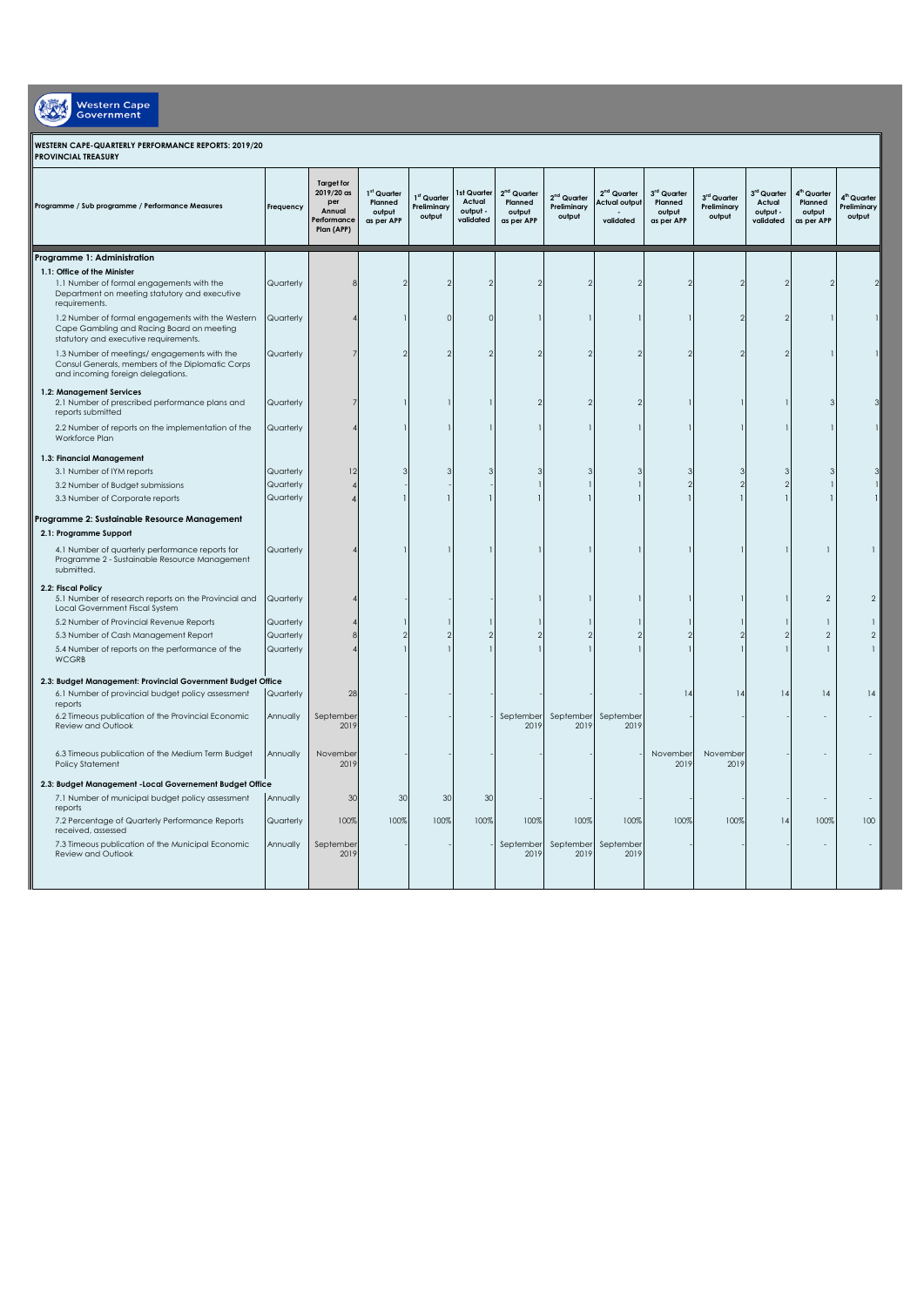| Western Cape<br><b>Government</b>                                                                                                          |           |                                                                                 |                                                            |                                                  |                                                |                                                  |                                                  |                                                   |                                                |                                      |                                                |                                                            |                                                  |
|--------------------------------------------------------------------------------------------------------------------------------------------|-----------|---------------------------------------------------------------------------------|------------------------------------------------------------|--------------------------------------------------|------------------------------------------------|--------------------------------------------------|--------------------------------------------------|---------------------------------------------------|------------------------------------------------|--------------------------------------|------------------------------------------------|------------------------------------------------------------|--------------------------------------------------|
| WESTERN CAPE-QUARTERLY PERFORMANCE REPORTS: 2019/20<br><b>PROVINCIAL TREASURY</b>                                                          |           |                                                                                 |                                                            |                                                  |                                                |                                                  |                                                  |                                                   |                                                |                                      |                                                |                                                            |                                                  |
| Programme / Sub programme / Performance Measures                                                                                           | Frequency | <b>Target for</b><br>$2019/20$ as<br>per<br>Annual<br>Performance<br>Plan (APP) | 1 <sup>st</sup> Quarter<br>Planned<br>output<br>as per APP | 1 <sup>st</sup> Quarter<br>Preliminary<br>output | 1st Quarter<br>Actual<br>output -<br>validated | $2nd$ Quarter<br>Planned<br>output<br>as per APP | 2 <sup>nd</sup> Quarter<br>Preliminary<br>output | $2nd$ Quarter<br><b>Actual outpu</b><br>validated | 3rd Quarter<br>Planned<br>output<br>as per APP | 3rd Quarter<br>Preliminary<br>output | 3rd Quarter<br>Actual<br>output -<br>validated | 4 <sup>th</sup> Quarter<br>Planned<br>output<br>as per APP | 4 <sup>th</sup> Quarter<br>Preliminary<br>output |
| Programme 1: Administration                                                                                                                |           |                                                                                 |                                                            |                                                  |                                                |                                                  |                                                  |                                                   |                                                |                                      |                                                |                                                            |                                                  |
| 1.1: Office of the Minister<br>1.1 Number of formal engagements with the<br>Department on meeting statutory and executive<br>requirements. | Quarterly |                                                                                 |                                                            | $\mathcal{P}$                                    |                                                | 2                                                |                                                  |                                                   |                                                | 2                                    |                                                |                                                            |                                                  |
| 1.2 Number of formal engagements with the Western<br>Cape Gambling and Racing Board on meeting<br>statutory and executive requirements.    | Quarterly |                                                                                 |                                                            | $\Omega$                                         | $\sqrt{ }$                                     |                                                  |                                                  |                                                   |                                                |                                      |                                                |                                                            |                                                  |
| 1.3 Number of meetings/ engagements with the<br>Consul Generals, members of the Diplomatic Corps<br>and incoming foreign delegations.      | Quarterly |                                                                                 |                                                            | $\mathcal{P}$                                    |                                                | 2                                                |                                                  |                                                   | $\mathcal{P}$                                  |                                      |                                                |                                                            |                                                  |
| 1.2: Management Services<br>2.1 Number of prescribed performance plans and<br>reports submitted                                            | Quarterly |                                                                                 |                                                            |                                                  |                                                |                                                  |                                                  |                                                   |                                                |                                      |                                                |                                                            |                                                  |
| 2.2 Number of reports on the implementation of the<br>Workforce Plan                                                                       | Quarterly |                                                                                 |                                                            |                                                  |                                                |                                                  |                                                  |                                                   |                                                |                                      |                                                |                                                            |                                                  |
| 1.3: Financial Management                                                                                                                  |           |                                                                                 |                                                            |                                                  |                                                |                                                  |                                                  |                                                   |                                                |                                      |                                                |                                                            |                                                  |
| 3.1 Number of IYM reports                                                                                                                  | Quarterly | 12                                                                              |                                                            |                                                  |                                                |                                                  |                                                  |                                                   |                                                |                                      |                                                |                                                            |                                                  |
| 3.2 Number of Budget submissions                                                                                                           | Quarterly |                                                                                 |                                                            |                                                  |                                                |                                                  |                                                  |                                                   | $\mathcal{P}$                                  |                                      |                                                |                                                            |                                                  |
| 3.3 Number of Corporate reports                                                                                                            | Quarterly |                                                                                 |                                                            |                                                  |                                                |                                                  |                                                  |                                                   |                                                |                                      |                                                |                                                            |                                                  |
| Programme 2: Sustainable Resource Management                                                                                               |           |                                                                                 |                                                            |                                                  |                                                |                                                  |                                                  |                                                   |                                                |                                      |                                                |                                                            |                                                  |
| 2.1: Programme Support                                                                                                                     |           |                                                                                 |                                                            |                                                  |                                                |                                                  |                                                  |                                                   |                                                |                                      |                                                |                                                            |                                                  |
| 4.1 Number of quarterly performance reports for<br>Programme 2 - Sustainable Resource Management<br>submitted.                             | Quarterly |                                                                                 |                                                            |                                                  |                                                |                                                  |                                                  |                                                   |                                                |                                      |                                                |                                                            |                                                  |
| 2.2: Fiscal Policy<br>5.1 Number of research reports on the Provincial and<br>Local Government Fiscal System                               | Quarterly |                                                                                 |                                                            |                                                  |                                                |                                                  |                                                  |                                                   |                                                |                                      |                                                | $\overline{2}$                                             | $\overline{2}$                                   |
| 5.2 Number of Provincial Revenue Reports                                                                                                   | Quarterly |                                                                                 |                                                            |                                                  |                                                |                                                  |                                                  |                                                   |                                                |                                      |                                                | $\mathbf{1}$                                               |                                                  |
| 5.3 Number of Cash Management Report                                                                                                       | Quarterly |                                                                                 |                                                            | $\mathfrak{D}$                                   |                                                |                                                  |                                                  |                                                   |                                                |                                      |                                                | $\overline{2}$                                             | $\overline{2}$                                   |
| 5.4 Number of reports on the performance of the<br><b>WCGRB</b>                                                                            | Quarterly |                                                                                 |                                                            |                                                  |                                                |                                                  |                                                  |                                                   |                                                |                                      |                                                | $\mathbf{1}$                                               |                                                  |
| 2.3: Budget Management: Provincial Government Budget Office<br>6.1 Number of provincial budget policy assessment                           | Quarterly | 28                                                                              |                                                            |                                                  |                                                |                                                  |                                                  |                                                   | $\frac{1}{2}$                                  | 14                                   | $\frac{1}{2}$                                  | 4                                                          | 14                                               |
| reports<br>6.2 Timeous publication of the Provincial Economic                                                                              | Annually  | September                                                                       |                                                            |                                                  |                                                | September                                        | September                                        | September                                         |                                                |                                      |                                                |                                                            |                                                  |
| Review and Outlook                                                                                                                         |           | 2019                                                                            |                                                            |                                                  |                                                | 2019                                             | 2019                                             | 2019                                              |                                                |                                      |                                                |                                                            |                                                  |
| 6.3 Timeous publication of the Medium Term Budget<br>Policy Statement                                                                      | Annually  | November<br>2019                                                                |                                                            |                                                  |                                                |                                                  |                                                  |                                                   | November<br>2019                               | November<br>2019                     |                                                |                                                            |                                                  |
| 2.3: Budget Management - Local Governement Budget Office                                                                                   |           |                                                                                 |                                                            |                                                  |                                                |                                                  |                                                  |                                                   |                                                |                                      |                                                |                                                            |                                                  |
| 7.1 Number of municipal budget policy assessment<br>reports                                                                                | Annually  | 3C                                                                              | 30                                                         | 30                                               | 30                                             |                                                  |                                                  |                                                   |                                                |                                      |                                                |                                                            |                                                  |
| 7.2 Percentage of Quarterly Performance Reports<br>received, assessed                                                                      | Quarterly | 100%                                                                            | 100%                                                       | 100%                                             | 100%                                           | 100%                                             | 100%                                             | 100%                                              | 100%                                           | 100%                                 | 14                                             | 100%                                                       | 100                                              |
| 7.3 Timeous publication of the Municipal Economic<br>Review and Outlook                                                                    | Annually  | September<br>2019                                                               |                                                            |                                                  |                                                | September<br>2019                                | September<br>2019                                | September<br>2019                                 |                                                |                                      |                                                |                                                            |                                                  |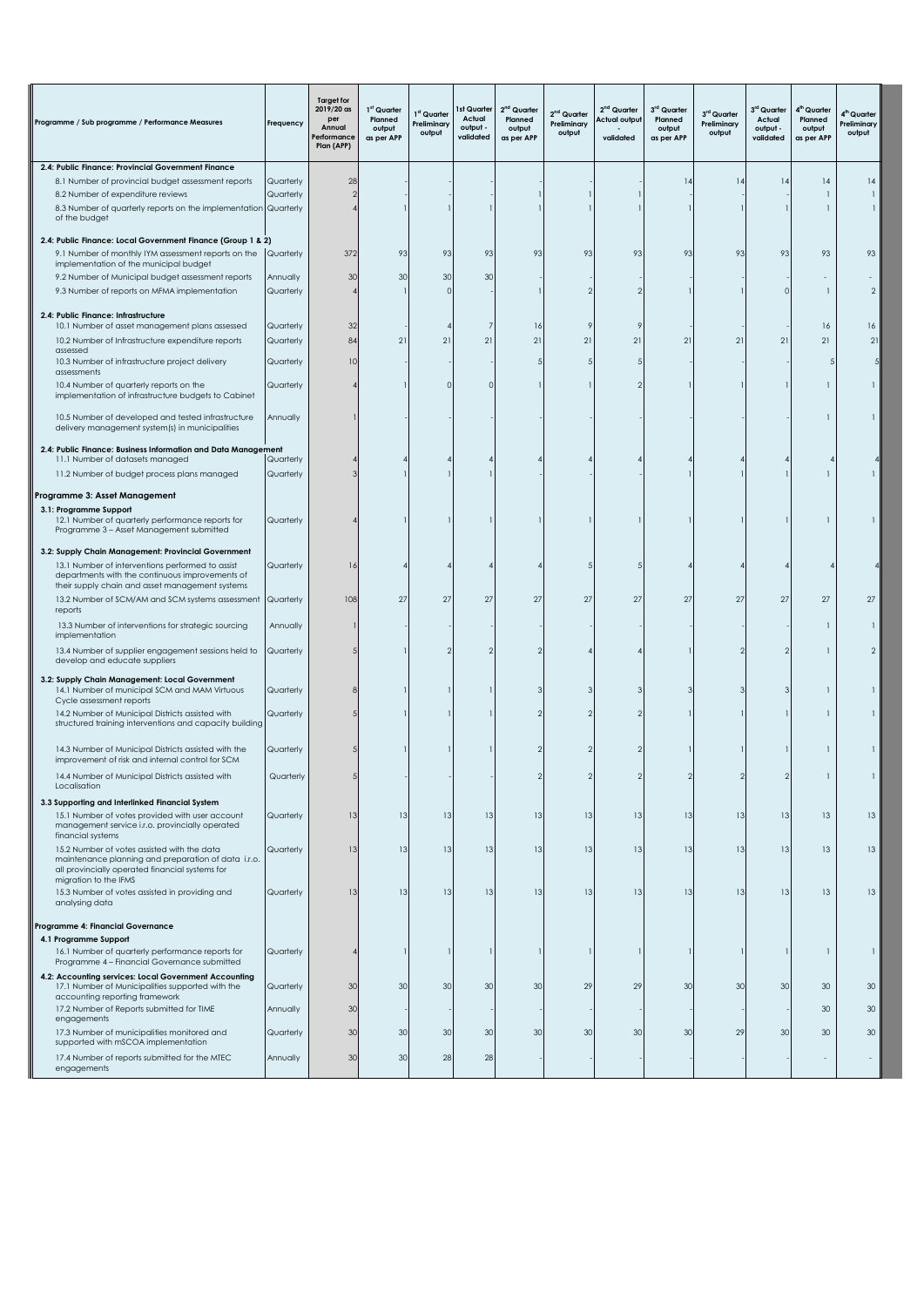| 2.4: Public Finance: Provincial Government Finance<br>8.1 Number of provincial budget assessment reports<br>Quarterly<br>28<br>14<br> 4<br>$\frac{1}{2}$<br>14<br> 4<br>8.2 Number of expenditure reviews<br>Quarterly<br>1<br>-1<br>8.3 Number of quarterly reports on the implementation Quarterly<br>1<br>of the budget<br>2.4: Public Finance: Local Government Finance (Group 1 & 2)<br>9.1 Number of monthly IYM assessment reports on the<br>372<br>93<br>93<br>93<br>93<br>93<br>93<br>93<br>93<br>93<br>93<br>93<br>Quarterly<br>implementation of the municipal budget<br>9.2 Number of Municipal budget assessment reports<br>Annually<br>30<br>30<br>30<br>30<br>9.3 Number of reports on MFMA implementation<br>Quarterly<br>$\overline{2}$<br>$\Omega$<br>1<br>2.4: Public Finance: Infrastructure<br>10.1 Number of asset management plans assessed<br>Quarterly<br>32<br>16<br>16<br>16<br>21<br>21<br>10.2 Number of Infrastructure expenditure reports<br>Quarterly<br>84<br>21<br>21<br>21<br>21<br>21<br>21<br>21<br>21<br>21<br>assessed<br>10.3 Number of infrastructure project delivery<br>10<br>Quarterly<br>assessments<br>10.4 Number of quarterly reports on the<br>Quarterly<br>U<br>$\Omega$<br>1<br>implementation of infrastructure budgets to Cabinet<br>Annually<br>10.5 Number of developed and tested infrastructure<br>1<br>delivery management system(s) in municipalities<br>2.4: Public Finance: Business Information and Data Management<br>11.1 Number of datasets managed<br>Quarterly<br>11.2 Number of budget process plans managed<br>Quarterly<br>1<br>Programme 3: Asset Management<br>3.1: Programme Support<br>12.1 Number of quarterly performance reports for<br>Quarterly<br>1<br>Programme 3 - Asset Management submitted<br>3.2: Supply Chain Management: Provincial Government<br>13.1 Number of interventions performed to assist<br>Quarterly<br>16<br>departments with the continuous improvements of<br>their supply chain and asset management systems<br>27<br>27<br>27<br>27<br>27<br>27<br>27<br>13.2 Number of SCM/AM and SCM systems assessment<br>Quarterly<br>108<br>27<br>27<br>27<br>27<br>reports<br>13.3 Number of interventions for strategic sourcing<br>Annually<br>$\mathbf{1}$<br>implementation<br>13.4 Number of supplier engagement sessions held to<br>Quarterly<br>$\mathcal{P}$<br>1<br>develop and educate suppliers |
|----------------------------------------------------------------------------------------------------------------------------------------------------------------------------------------------------------------------------------------------------------------------------------------------------------------------------------------------------------------------------------------------------------------------------------------------------------------------------------------------------------------------------------------------------------------------------------------------------------------------------------------------------------------------------------------------------------------------------------------------------------------------------------------------------------------------------------------------------------------------------------------------------------------------------------------------------------------------------------------------------------------------------------------------------------------------------------------------------------------------------------------------------------------------------------------------------------------------------------------------------------------------------------------------------------------------------------------------------------------------------------------------------------------------------------------------------------------------------------------------------------------------------------------------------------------------------------------------------------------------------------------------------------------------------------------------------------------------------------------------------------------------------------------------------------------------------------------------------------------------------------------------------------------------------------------------------------------------------------------------------------------------------------------------------------------------------------------------------------------------------------------------------------------------------------------------------------------------------------------------------------------------------------------------------------------------------------------------------------------------------------------------------------|
|                                                                                                                                                                                                                                                                                                                                                                                                                                                                                                                                                                                                                                                                                                                                                                                                                                                                                                                                                                                                                                                                                                                                                                                                                                                                                                                                                                                                                                                                                                                                                                                                                                                                                                                                                                                                                                                                                                                                                                                                                                                                                                                                                                                                                                                                                                                                                                                                          |
|                                                                                                                                                                                                                                                                                                                                                                                                                                                                                                                                                                                                                                                                                                                                                                                                                                                                                                                                                                                                                                                                                                                                                                                                                                                                                                                                                                                                                                                                                                                                                                                                                                                                                                                                                                                                                                                                                                                                                                                                                                                                                                                                                                                                                                                                                                                                                                                                          |
|                                                                                                                                                                                                                                                                                                                                                                                                                                                                                                                                                                                                                                                                                                                                                                                                                                                                                                                                                                                                                                                                                                                                                                                                                                                                                                                                                                                                                                                                                                                                                                                                                                                                                                                                                                                                                                                                                                                                                                                                                                                                                                                                                                                                                                                                                                                                                                                                          |
|                                                                                                                                                                                                                                                                                                                                                                                                                                                                                                                                                                                                                                                                                                                                                                                                                                                                                                                                                                                                                                                                                                                                                                                                                                                                                                                                                                                                                                                                                                                                                                                                                                                                                                                                                                                                                                                                                                                                                                                                                                                                                                                                                                                                                                                                                                                                                                                                          |
|                                                                                                                                                                                                                                                                                                                                                                                                                                                                                                                                                                                                                                                                                                                                                                                                                                                                                                                                                                                                                                                                                                                                                                                                                                                                                                                                                                                                                                                                                                                                                                                                                                                                                                                                                                                                                                                                                                                                                                                                                                                                                                                                                                                                                                                                                                                                                                                                          |
|                                                                                                                                                                                                                                                                                                                                                                                                                                                                                                                                                                                                                                                                                                                                                                                                                                                                                                                                                                                                                                                                                                                                                                                                                                                                                                                                                                                                                                                                                                                                                                                                                                                                                                                                                                                                                                                                                                                                                                                                                                                                                                                                                                                                                                                                                                                                                                                                          |
|                                                                                                                                                                                                                                                                                                                                                                                                                                                                                                                                                                                                                                                                                                                                                                                                                                                                                                                                                                                                                                                                                                                                                                                                                                                                                                                                                                                                                                                                                                                                                                                                                                                                                                                                                                                                                                                                                                                                                                                                                                                                                                                                                                                                                                                                                                                                                                                                          |
|                                                                                                                                                                                                                                                                                                                                                                                                                                                                                                                                                                                                                                                                                                                                                                                                                                                                                                                                                                                                                                                                                                                                                                                                                                                                                                                                                                                                                                                                                                                                                                                                                                                                                                                                                                                                                                                                                                                                                                                                                                                                                                                                                                                                                                                                                                                                                                                                          |
|                                                                                                                                                                                                                                                                                                                                                                                                                                                                                                                                                                                                                                                                                                                                                                                                                                                                                                                                                                                                                                                                                                                                                                                                                                                                                                                                                                                                                                                                                                                                                                                                                                                                                                                                                                                                                                                                                                                                                                                                                                                                                                                                                                                                                                                                                                                                                                                                          |
|                                                                                                                                                                                                                                                                                                                                                                                                                                                                                                                                                                                                                                                                                                                                                                                                                                                                                                                                                                                                                                                                                                                                                                                                                                                                                                                                                                                                                                                                                                                                                                                                                                                                                                                                                                                                                                                                                                                                                                                                                                                                                                                                                                                                                                                                                                                                                                                                          |
|                                                                                                                                                                                                                                                                                                                                                                                                                                                                                                                                                                                                                                                                                                                                                                                                                                                                                                                                                                                                                                                                                                                                                                                                                                                                                                                                                                                                                                                                                                                                                                                                                                                                                                                                                                                                                                                                                                                                                                                                                                                                                                                                                                                                                                                                                                                                                                                                          |
|                                                                                                                                                                                                                                                                                                                                                                                                                                                                                                                                                                                                                                                                                                                                                                                                                                                                                                                                                                                                                                                                                                                                                                                                                                                                                                                                                                                                                                                                                                                                                                                                                                                                                                                                                                                                                                                                                                                                                                                                                                                                                                                                                                                                                                                                                                                                                                                                          |
|                                                                                                                                                                                                                                                                                                                                                                                                                                                                                                                                                                                                                                                                                                                                                                                                                                                                                                                                                                                                                                                                                                                                                                                                                                                                                                                                                                                                                                                                                                                                                                                                                                                                                                                                                                                                                                                                                                                                                                                                                                                                                                                                                                                                                                                                                                                                                                                                          |
|                                                                                                                                                                                                                                                                                                                                                                                                                                                                                                                                                                                                                                                                                                                                                                                                                                                                                                                                                                                                                                                                                                                                                                                                                                                                                                                                                                                                                                                                                                                                                                                                                                                                                                                                                                                                                                                                                                                                                                                                                                                                                                                                                                                                                                                                                                                                                                                                          |
|                                                                                                                                                                                                                                                                                                                                                                                                                                                                                                                                                                                                                                                                                                                                                                                                                                                                                                                                                                                                                                                                                                                                                                                                                                                                                                                                                                                                                                                                                                                                                                                                                                                                                                                                                                                                                                                                                                                                                                                                                                                                                                                                                                                                                                                                                                                                                                                                          |
|                                                                                                                                                                                                                                                                                                                                                                                                                                                                                                                                                                                                                                                                                                                                                                                                                                                                                                                                                                                                                                                                                                                                                                                                                                                                                                                                                                                                                                                                                                                                                                                                                                                                                                                                                                                                                                                                                                                                                                                                                                                                                                                                                                                                                                                                                                                                                                                                          |
|                                                                                                                                                                                                                                                                                                                                                                                                                                                                                                                                                                                                                                                                                                                                                                                                                                                                                                                                                                                                                                                                                                                                                                                                                                                                                                                                                                                                                                                                                                                                                                                                                                                                                                                                                                                                                                                                                                                                                                                                                                                                                                                                                                                                                                                                                                                                                                                                          |
|                                                                                                                                                                                                                                                                                                                                                                                                                                                                                                                                                                                                                                                                                                                                                                                                                                                                                                                                                                                                                                                                                                                                                                                                                                                                                                                                                                                                                                                                                                                                                                                                                                                                                                                                                                                                                                                                                                                                                                                                                                                                                                                                                                                                                                                                                                                                                                                                          |
|                                                                                                                                                                                                                                                                                                                                                                                                                                                                                                                                                                                                                                                                                                                                                                                                                                                                                                                                                                                                                                                                                                                                                                                                                                                                                                                                                                                                                                                                                                                                                                                                                                                                                                                                                                                                                                                                                                                                                                                                                                                                                                                                                                                                                                                                                                                                                                                                          |
|                                                                                                                                                                                                                                                                                                                                                                                                                                                                                                                                                                                                                                                                                                                                                                                                                                                                                                                                                                                                                                                                                                                                                                                                                                                                                                                                                                                                                                                                                                                                                                                                                                                                                                                                                                                                                                                                                                                                                                                                                                                                                                                                                                                                                                                                                                                                                                                                          |
|                                                                                                                                                                                                                                                                                                                                                                                                                                                                                                                                                                                                                                                                                                                                                                                                                                                                                                                                                                                                                                                                                                                                                                                                                                                                                                                                                                                                                                                                                                                                                                                                                                                                                                                                                                                                                                                                                                                                                                                                                                                                                                                                                                                                                                                                                                                                                                                                          |
|                                                                                                                                                                                                                                                                                                                                                                                                                                                                                                                                                                                                                                                                                                                                                                                                                                                                                                                                                                                                                                                                                                                                                                                                                                                                                                                                                                                                                                                                                                                                                                                                                                                                                                                                                                                                                                                                                                                                                                                                                                                                                                                                                                                                                                                                                                                                                                                                          |
|                                                                                                                                                                                                                                                                                                                                                                                                                                                                                                                                                                                                                                                                                                                                                                                                                                                                                                                                                                                                                                                                                                                                                                                                                                                                                                                                                                                                                                                                                                                                                                                                                                                                                                                                                                                                                                                                                                                                                                                                                                                                                                                                                                                                                                                                                                                                                                                                          |
|                                                                                                                                                                                                                                                                                                                                                                                                                                                                                                                                                                                                                                                                                                                                                                                                                                                                                                                                                                                                                                                                                                                                                                                                                                                                                                                                                                                                                                                                                                                                                                                                                                                                                                                                                                                                                                                                                                                                                                                                                                                                                                                                                                                                                                                                                                                                                                                                          |
|                                                                                                                                                                                                                                                                                                                                                                                                                                                                                                                                                                                                                                                                                                                                                                                                                                                                                                                                                                                                                                                                                                                                                                                                                                                                                                                                                                                                                                                                                                                                                                                                                                                                                                                                                                                                                                                                                                                                                                                                                                                                                                                                                                                                                                                                                                                                                                                                          |
|                                                                                                                                                                                                                                                                                                                                                                                                                                                                                                                                                                                                                                                                                                                                                                                                                                                                                                                                                                                                                                                                                                                                                                                                                                                                                                                                                                                                                                                                                                                                                                                                                                                                                                                                                                                                                                                                                                                                                                                                                                                                                                                                                                                                                                                                                                                                                                                                          |
|                                                                                                                                                                                                                                                                                                                                                                                                                                                                                                                                                                                                                                                                                                                                                                                                                                                                                                                                                                                                                                                                                                                                                                                                                                                                                                                                                                                                                                                                                                                                                                                                                                                                                                                                                                                                                                                                                                                                                                                                                                                                                                                                                                                                                                                                                                                                                                                                          |
| 3.2: Supply Chain Management: Local Government<br>14.1 Number of municipal SCM and MAM Virtuous<br>Quarterly<br>1<br>Cycle assessment reports                                                                                                                                                                                                                                                                                                                                                                                                                                                                                                                                                                                                                                                                                                                                                                                                                                                                                                                                                                                                                                                                                                                                                                                                                                                                                                                                                                                                                                                                                                                                                                                                                                                                                                                                                                                                                                                                                                                                                                                                                                                                                                                                                                                                                                                            |
| 14.2 Number of Municipal Districts assisted with<br>Quarterly<br>1<br>structured training interventions and capacity building                                                                                                                                                                                                                                                                                                                                                                                                                                                                                                                                                                                                                                                                                                                                                                                                                                                                                                                                                                                                                                                                                                                                                                                                                                                                                                                                                                                                                                                                                                                                                                                                                                                                                                                                                                                                                                                                                                                                                                                                                                                                                                                                                                                                                                                                            |
| 14.3 Number of Municipal Districts assisted with the<br>Quarterly<br>1<br>improvement of risk and internal control for SCM                                                                                                                                                                                                                                                                                                                                                                                                                                                                                                                                                                                                                                                                                                                                                                                                                                                                                                                                                                                                                                                                                                                                                                                                                                                                                                                                                                                                                                                                                                                                                                                                                                                                                                                                                                                                                                                                                                                                                                                                                                                                                                                                                                                                                                                                               |
| 14.4 Number of Municipal Districts assisted with<br>Quarterly<br>Localisation                                                                                                                                                                                                                                                                                                                                                                                                                                                                                                                                                                                                                                                                                                                                                                                                                                                                                                                                                                                                                                                                                                                                                                                                                                                                                                                                                                                                                                                                                                                                                                                                                                                                                                                                                                                                                                                                                                                                                                                                                                                                                                                                                                                                                                                                                                                            |
| 3.3 Supporting and Interlinked Financial System                                                                                                                                                                                                                                                                                                                                                                                                                                                                                                                                                                                                                                                                                                                                                                                                                                                                                                                                                                                                                                                                                                                                                                                                                                                                                                                                                                                                                                                                                                                                                                                                                                                                                                                                                                                                                                                                                                                                                                                                                                                                                                                                                                                                                                                                                                                                                          |
| 15.1 Number of votes provided with user account<br>Quarterly<br>13<br>13<br>13<br>13<br>13<br>13<br>13<br>13<br>13<br>13<br>13<br>13<br>management service i.r.o. provincially operated                                                                                                                                                                                                                                                                                                                                                                                                                                                                                                                                                                                                                                                                                                                                                                                                                                                                                                                                                                                                                                                                                                                                                                                                                                                                                                                                                                                                                                                                                                                                                                                                                                                                                                                                                                                                                                                                                                                                                                                                                                                                                                                                                                                                                  |
| financial systems<br>13<br>13<br>13<br>13<br>13<br>15.2 Number of votes assisted with the data<br>13<br>13<br>13<br>13<br>13<br>13<br>13<br>Quarterly                                                                                                                                                                                                                                                                                                                                                                                                                                                                                                                                                                                                                                                                                                                                                                                                                                                                                                                                                                                                                                                                                                                                                                                                                                                                                                                                                                                                                                                                                                                                                                                                                                                                                                                                                                                                                                                                                                                                                                                                                                                                                                                                                                                                                                                    |
| maintenance planning and preparation of data i.r.o.<br>all provincially operated financial systems for                                                                                                                                                                                                                                                                                                                                                                                                                                                                                                                                                                                                                                                                                                                                                                                                                                                                                                                                                                                                                                                                                                                                                                                                                                                                                                                                                                                                                                                                                                                                                                                                                                                                                                                                                                                                                                                                                                                                                                                                                                                                                                                                                                                                                                                                                                   |
| migration to the IFMS                                                                                                                                                                                                                                                                                                                                                                                                                                                                                                                                                                                                                                                                                                                                                                                                                                                                                                                                                                                                                                                                                                                                                                                                                                                                                                                                                                                                                                                                                                                                                                                                                                                                                                                                                                                                                                                                                                                                                                                                                                                                                                                                                                                                                                                                                                                                                                                    |
| 15.3 Number of votes assisted in providing and<br>Quarterly<br>13<br>13<br>13<br>13<br>13<br>13<br>13<br>13<br>13<br>13<br>13<br>13<br>analysing data                                                                                                                                                                                                                                                                                                                                                                                                                                                                                                                                                                                                                                                                                                                                                                                                                                                                                                                                                                                                                                                                                                                                                                                                                                                                                                                                                                                                                                                                                                                                                                                                                                                                                                                                                                                                                                                                                                                                                                                                                                                                                                                                                                                                                                                    |
| Programme 4: Financial Governance                                                                                                                                                                                                                                                                                                                                                                                                                                                                                                                                                                                                                                                                                                                                                                                                                                                                                                                                                                                                                                                                                                                                                                                                                                                                                                                                                                                                                                                                                                                                                                                                                                                                                                                                                                                                                                                                                                                                                                                                                                                                                                                                                                                                                                                                                                                                                                        |
| 4.1 Programme Support                                                                                                                                                                                                                                                                                                                                                                                                                                                                                                                                                                                                                                                                                                                                                                                                                                                                                                                                                                                                                                                                                                                                                                                                                                                                                                                                                                                                                                                                                                                                                                                                                                                                                                                                                                                                                                                                                                                                                                                                                                                                                                                                                                                                                                                                                                                                                                                    |
| 16.1 Number of quarterly performance reports for<br>Quarterly<br>$\mathbf{1}$<br>Programme 4 - Financial Governance submitted                                                                                                                                                                                                                                                                                                                                                                                                                                                                                                                                                                                                                                                                                                                                                                                                                                                                                                                                                                                                                                                                                                                                                                                                                                                                                                                                                                                                                                                                                                                                                                                                                                                                                                                                                                                                                                                                                                                                                                                                                                                                                                                                                                                                                                                                            |
| 4.2: Accounting services: Local Government Accounting                                                                                                                                                                                                                                                                                                                                                                                                                                                                                                                                                                                                                                                                                                                                                                                                                                                                                                                                                                                                                                                                                                                                                                                                                                                                                                                                                                                                                                                                                                                                                                                                                                                                                                                                                                                                                                                                                                                                                                                                                                                                                                                                                                                                                                                                                                                                                    |
| 17.1 Number of Municipalities supported with the<br>30<br>30<br>29<br>29<br>30<br>30<br>30<br>30<br>30<br>Quarterly<br>30<br>30<br>30<br>accounting reporting framework                                                                                                                                                                                                                                                                                                                                                                                                                                                                                                                                                                                                                                                                                                                                                                                                                                                                                                                                                                                                                                                                                                                                                                                                                                                                                                                                                                                                                                                                                                                                                                                                                                                                                                                                                                                                                                                                                                                                                                                                                                                                                                                                                                                                                                  |
| 17.2 Number of Reports submitted for TIME<br>Annually<br>30<br>30<br>30                                                                                                                                                                                                                                                                                                                                                                                                                                                                                                                                                                                                                                                                                                                                                                                                                                                                                                                                                                                                                                                                                                                                                                                                                                                                                                                                                                                                                                                                                                                                                                                                                                                                                                                                                                                                                                                                                                                                                                                                                                                                                                                                                                                                                                                                                                                                  |
| engagements<br>30<br>30<br>17.3 Number of municipalities monitored and<br>Quarterly<br>30<br>30<br>30<br>30<br>30<br>30<br>30<br>29<br>30<br>30                                                                                                                                                                                                                                                                                                                                                                                                                                                                                                                                                                                                                                                                                                                                                                                                                                                                                                                                                                                                                                                                                                                                                                                                                                                                                                                                                                                                                                                                                                                                                                                                                                                                                                                                                                                                                                                                                                                                                                                                                                                                                                                                                                                                                                                          |
| supported with mSCOA implementation                                                                                                                                                                                                                                                                                                                                                                                                                                                                                                                                                                                                                                                                                                                                                                                                                                                                                                                                                                                                                                                                                                                                                                                                                                                                                                                                                                                                                                                                                                                                                                                                                                                                                                                                                                                                                                                                                                                                                                                                                                                                                                                                                                                                                                                                                                                                                                      |
| 17.4 Number of reports submitted for the MTEC<br>Annually<br>30<br>30<br>28<br>28<br>engagements                                                                                                                                                                                                                                                                                                                                                                                                                                                                                                                                                                                                                                                                                                                                                                                                                                                                                                                                                                                                                                                                                                                                                                                                                                                                                                                                                                                                                                                                                                                                                                                                                                                                                                                                                                                                                                                                                                                                                                                                                                                                                                                                                                                                                                                                                                         |